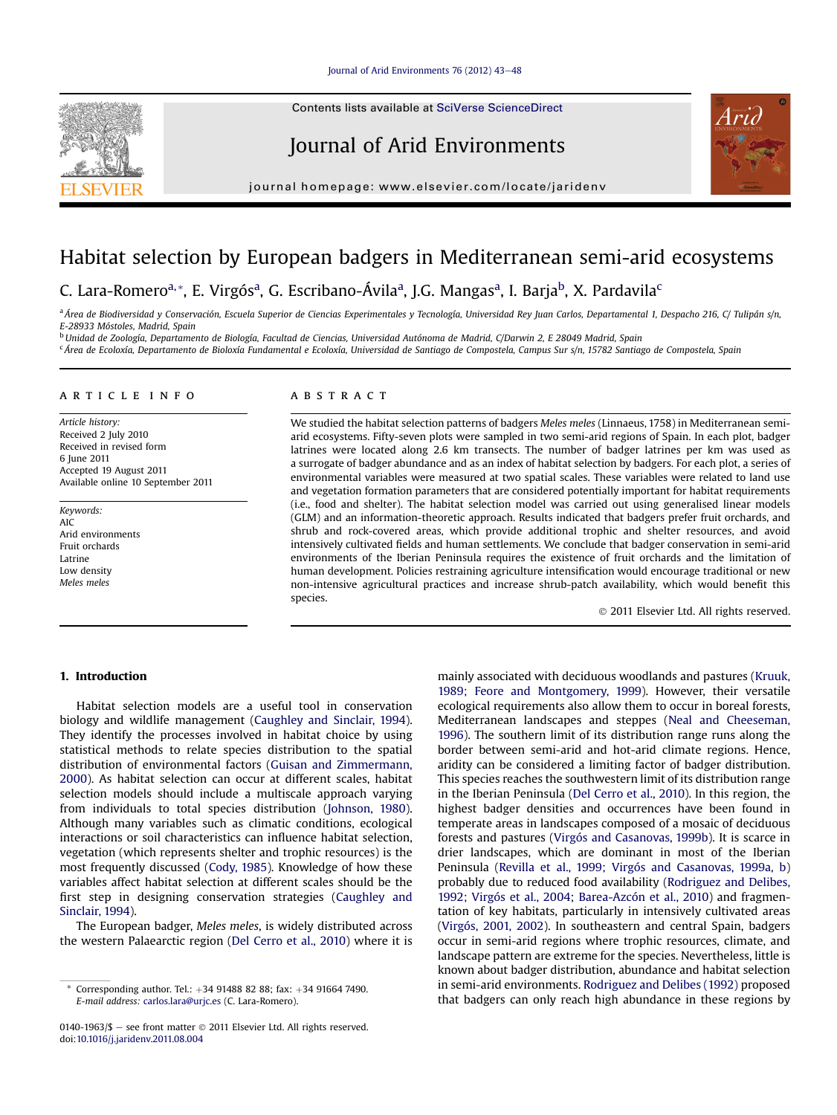## [Journal of Arid Environments 76 \(2012\) 43](http://dx.doi.org/10.1016/j.jaridenv.2011.08.004)-[48](http://dx.doi.org/10.1016/j.jaridenv.2011.08.004)

Contents lists available at [SciVerse ScienceDirect](www.sciencedirect.com/science/journal/01401963)

# Journal of Arid Environments



# Habitat selection by European badgers in Mediterranean semi-arid ecosystems

# C. Lara-Romero<sup>a,</sup>\*, E. Virgós<sup>a</sup>, G. Escribano-Ávila<sup>a</sup>, J.G. Mangas<sup>a</sup>, I. Barja<sup>b</sup>, X. Pardavila<sup>c</sup>

<sup>a</sup> Área de Biodiversidad y Conservación, Escuela Superior de Ciencias Experimentales y Tecnología, Universidad Rey Juan Carlos, Departamental 1, Despacho 216, C/ Tulipán s/n, E-28933 Móstoles, Madrid, Spain

<sup>b</sup> Unidad de Zoología, Departamento de Biología, Facultad de Ciencias, Universidad Autónoma de Madrid, C/Darwin 2, E 28049 Madrid, Spain <sup>c</sup>Área de Ecoloxía, Departamento de Bioloxía Fundamental e Ecoloxía, Universidad de Santiago de Compostela, Campus Sur s/n, 15782 Santiago de Compostela, Spain

#### article info

Article history: Received 2 July 2010 Received in revised form 6 June 2011 Accepted 19 August 2011 Available online 10 September 2011

Keywords: AIC Arid environments Fruit orchards Latrine Low density Meles meles

### ABSTRACT

We studied the habitat selection patterns of badgers Meles meles (Linnaeus, 1758) in Mediterranean semiarid ecosystems. Fifty-seven plots were sampled in two semi-arid regions of Spain. In each plot, badger latrines were located along 2.6 km transects. The number of badger latrines per km was used as a surrogate of badger abundance and as an index of habitat selection by badgers. For each plot, a series of environmental variables were measured at two spatial scales. These variables were related to land use and vegetation formation parameters that are considered potentially important for habitat requirements (i.e., food and shelter). The habitat selection model was carried out using generalised linear models (GLM) and an information-theoretic approach. Results indicated that badgers prefer fruit orchards, and shrub and rock-covered areas, which provide additional trophic and shelter resources, and avoid intensively cultivated fields and human settlements. We conclude that badger conservation in semi-arid environments of the Iberian Peninsula requires the existence of fruit orchards and the limitation of human development. Policies restraining agriculture intensification would encourage traditional or new non-intensive agricultural practices and increase shrub-patch availability, which would benefit this species.

2011 Elsevier Ltd. All rights reserved.

## 1. Introduction

Habitat selection models are a useful tool in conservation biology and wildlife management [\(Caughley and Sinclair, 1994\)](#page-4-0). They identify the processes involved in habitat choice by using statistical methods to relate species distribution to the spatial distribution of environmental factors ([Guisan and Zimmermann,](#page-4-0) [2000](#page-4-0)). As habitat selection can occur at different scales, habitat selection models should include a multiscale approach varying from individuals to total species distribution [\(Johnson, 1980\)](#page-4-0). Although many variables such as climatic conditions, ecological interactions or soil characteristics can influence habitat selection, vegetation (which represents shelter and trophic resources) is the most frequently discussed ([Cody, 1985](#page-4-0)). Knowledge of how these variables affect habitat selection at different scales should be the first step in designing conservation strategies [\(Caughley and](#page-4-0) [Sinclair, 1994](#page-4-0)).

The European badger, Meles meles, is widely distributed across the western Palaearctic region ([Del Cerro et al., 2010](#page-4-0)) where it is mainly associated with deciduous woodlands and pastures ([Kruuk,](#page-4-0) [1989; Feore and Montgomery, 1999\)](#page-4-0). However, their versatile ecological requirements also allow them to occur in boreal forests, Mediterranean landscapes and steppes ([Neal and Cheeseman,](#page-4-0) [1996\)](#page-4-0). The southern limit of its distribution range runs along the border between semi-arid and hot-arid climate regions. Hence, aridity can be considered a limiting factor of badger distribution. This species reaches the southwestern limit of its distribution range in the Iberian Peninsula ([Del Cerro et al., 2010](#page-4-0)). In this region, the highest badger densities and occurrences have been found in temperate areas in landscapes composed of a mosaic of deciduous forests and pastures [\(Virgós and Casanovas, 1999b](#page-5-0)). It is scarce in drier landscapes, which are dominant in most of the Iberian Peninsula [\(Revilla et al., 1999; Virgós and Casanovas, 1999a, b\)](#page-4-0) probably due to reduced food availability [\(Rodriguez and Delibes,](#page-4-0) [1992; Virgós et al., 2004](#page-4-0); [Barea-Azcón et al., 2010](#page-4-0)) and fragmentation of key habitats, particularly in intensively cultivated areas ([Virgós, 2001, 2002\)](#page-5-0). In southeastern and central Spain, badgers occur in semi-arid regions where trophic resources, climate, and landscape pattern are extreme for the species. Nevertheless, little is known about badger distribution, abundance and habitat selection in semi-arid environments. [Rodriguez and Delibes \(1992\)](#page-4-0) proposed that badgers can only reach high abundance in these regions by





Corresponding author. Tel.: +34 91488 82 88; fax: +34 91664 7490. E-mail address: [carlos.lara@urjc.es](mailto:carlos.lara@urjc.es) (C. Lara-Romero).

<sup>0140-1963/\$ -</sup> see front matter  $\odot$  2011 Elsevier Ltd. All rights reserved. doi[:10.1016/j.jaridenv.2011.08.004](http://dx.doi.org/10.1016/j.jaridenv.2011.08.004)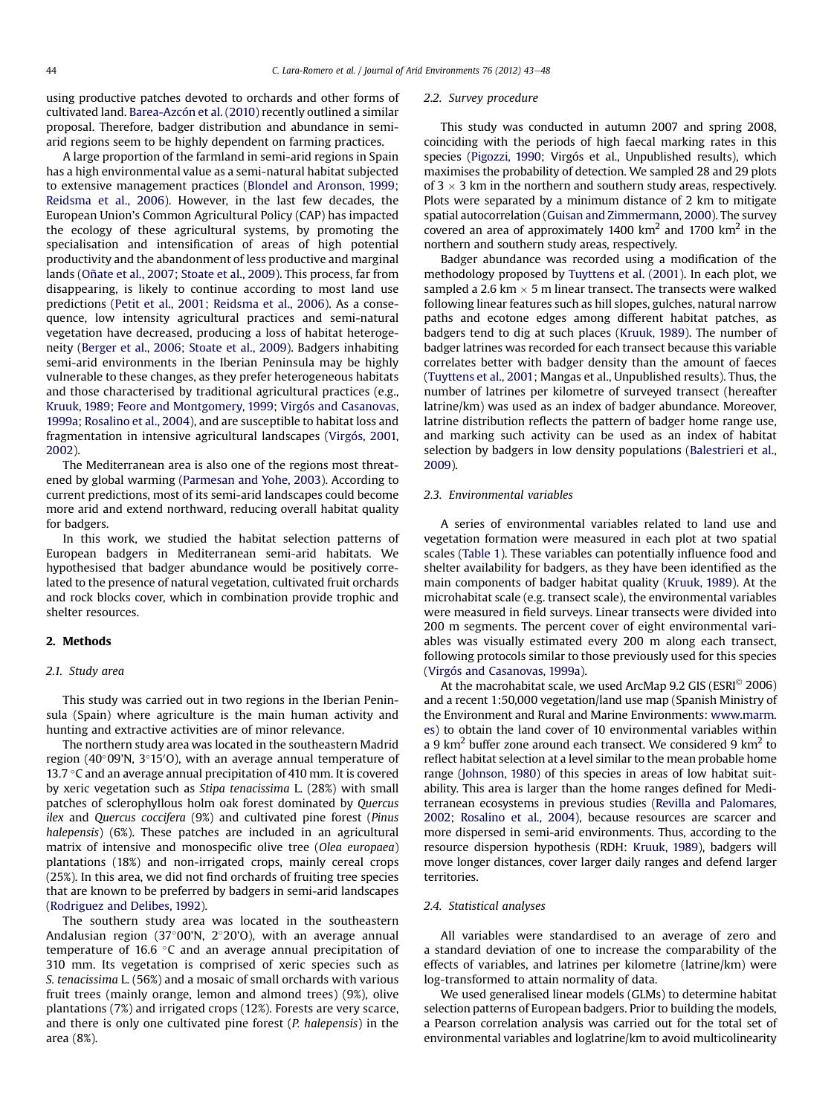using productive patches devoted to orchards and other forms of cultivated land. [Barea-Azcón et al. \(2010\)](#page-4-0) recently outlined a similar proposal. Therefore, badger distribution and abundance in semiarid regions seem to be highly dependent on farming practices.

A large proportion of the farmland in semi-arid regions in Spain has a high environmental value as a semi-natural habitat subjected to extensive management practices [\(Blondel and Aronson, 1999;](#page-4-0) [Reidsma et al., 2006](#page-4-0)). However, in the last few decades, the European Union's Common Agricultural Policy (CAP) has impacted the ecology of these agricultural systems, by promoting the specialisation and intensification of areas of high potential productivity and the abandonment of less productive and marginal lands [\(Oñate et al., 2007; Stoate et al., 2009\)](#page-4-0). This process, far from disappearing, is likely to continue according to most land use predictions ([Petit et al., 2001; Reidsma et al., 2006](#page-4-0)). As a consequence, low intensity agricultural practices and semi-natural vegetation have decreased, producing a loss of habitat heterogeneity [\(Berger et al., 2006; Stoate et al., 2009](#page-4-0)). Badgers inhabiting semi-arid environments in the Iberian Peninsula may be highly vulnerable to these changes, as they prefer heterogeneous habitats and those characterised by traditional agricultural practices (e.g., [Kruuk, 1989; Feore and Montgomery, 1999; Virgós and Casanovas,](#page-4-0) [1999a; Rosalino et al., 2004](#page-4-0)), and are susceptible to habitat loss and fragmentation in intensive agricultural landscapes [\(Virgós, 2001,](#page-5-0) [2002](#page-5-0)).

The Mediterranean area is also one of the regions most threatened by global warming [\(Parmesan and Yohe, 2003\)](#page-4-0). According to current predictions, most of its semi-arid landscapes could become more arid and extend northward, reducing overall habitat quality for badgers.

In this work, we studied the habitat selection patterns of European badgers in Mediterranean semi-arid habitats. We hypothesised that badger abundance would be positively correlated to the presence of natural vegetation, cultivated fruit orchards and rock blocks cover, which in combination provide trophic and shelter resources.

# 2. Methods

# 2.1. Study area

This study was carried out in two regions in the Iberian Peninsula (Spain) where agriculture is the main human activity and hunting and extractive activities are of minor relevance.

The northern study area was located in the southeastern Madrid region (40°09'N, 3°15′O), with an average annual temperature of 13.7  $\degree$ C and an average annual precipitation of 410 mm. It is covered by xeric vegetation such as Stipa tenacissima L. (28%) with small patches of sclerophyllous holm oak forest dominated by Quercus ilex and Quercus coccifera (9%) and cultivated pine forest (Pinus halepensis) (6%). These patches are included in an agricultural matrix of intensive and monospecific olive tree (Olea europaea) plantations (18%) and non-irrigated crops, mainly cereal crops (25%). In this area, we did not find orchards of fruiting tree species that are known to be preferred by badgers in semi-arid landscapes ([Rodriguez and Delibes, 1992\)](#page-4-0).

The southern study area was located in the southeastern Andalusian region (37°00'N, 2°20'O), with an average annual temperature of 16.6  $\degree$ C and an average annual precipitation of 310 mm. Its vegetation is comprised of xeric species such as S. tenacissima L. (56%) and a mosaic of small orchards with various fruit trees (mainly orange, lemon and almond trees) (9%), olive plantations (7%) and irrigated crops (12%). Forests are very scarce, and there is only one cultivated pine forest (P. halepensis) in the area (8%).

#### 2.2. Survey procedure

This study was conducted in autumn 2007 and spring 2008, coinciding with the periods of high faecal marking rates in this species [\(Pigozzi, 1990](#page-4-0); Virgós et al., Unpublished results), which maximises the probability of detection. We sampled 28 and 29 plots of  $3 \times 3$  km in the northern and southern study areas, respectively. Plots were separated by a minimum distance of 2 km to mitigate spatial autocorrelation [\(Guisan and Zimmermann, 2000](#page-4-0)). The survey covered an area of approximately 1400  $km^2$  and 1700  $km^2$  in the northern and southern study areas, respectively.

Badger abundance was recorded using a modification of the methodology proposed by [Tuyttens et al. \(2001\).](#page-5-0) In each plot, we sampled a 2.6 km  $\times$  5 m linear transect. The transects were walked following linear features such as hill slopes, gulches, natural narrow paths and ecotone edges among different habitat patches, as badgers tend to dig at such places [\(Kruuk, 1989](#page-4-0)). The number of badger latrines was recorded for each transect because this variable correlates better with badger density than the amount of faeces ([Tuyttens et al., 2001;](#page-5-0) Mangas et al., Unpublished results). Thus, the number of latrines per kilometre of surveyed transect (hereafter latrine/km) was used as an index of badger abundance. Moreover, latrine distribution reflects the pattern of badger home range use, and marking such activity can be used as an index of habitat selection by badgers in low density populations [\(Balestrieri et al.,](#page-4-0) [2009](#page-4-0)).

#### 2.3. Environmental variables

A series of environmental variables related to land use and vegetation formation were measured in each plot at two spatial scales [\(Table 1](#page-2-0)). These variables can potentially influence food and shelter availability for badgers, as they have been identified as the main components of badger habitat quality [\(Kruuk, 1989](#page-4-0)). At the microhabitat scale (e.g. transect scale), the environmental variables were measured in field surveys. Linear transects were divided into 200 m segments. The percent cover of eight environmental variables was visually estimated every 200 m along each transect, following protocols similar to those previously used for this species ([Virgós and Casanovas, 1999a](#page-5-0)).

At the macrohabitat scale, we used ArcMap 9.2 GIS (ESRI<sup>©</sup> 2006) and a recent 1:50,000 vegetation/land use map (Spanish Ministry of the Environment and Rural and Marine Environments: [www.marm.](http://www.marm.es) [es\)](http://www.marm.es) to obtain the land cover of 10 environmental variables within a 9  $km^2$  buffer zone around each transect. We considered 9  $km^2$  to reflect habitat selection at a level similar to the mean probable home range ([Johnson, 1980\)](#page-4-0) of this species in areas of low habitat suitability. This area is larger than the home ranges defined for Mediterranean ecosystems in previous studies ([Revilla and Palomares,](#page-4-0) [2002; Rosalino et al., 2004](#page-4-0)), because resources are scarcer and more dispersed in semi-arid environments. Thus, according to the resource dispersion hypothesis (RDH: [Kruuk, 1989\)](#page-4-0), badgers will move longer distances, cover larger daily ranges and defend larger territories.

#### 2.4. Statistical analyses

All variables were standardised to an average of zero and a standard deviation of one to increase the comparability of the effects of variables, and latrines per kilometre (latrine/km) were log-transformed to attain normality of data.

We used generalised linear models (GLMs) to determine habitat selection patterns of European badgers. Prior to building the models, a Pearson correlation analysis was carried out for the total set of environmental variables and loglatrine/km to avoid multicolinearity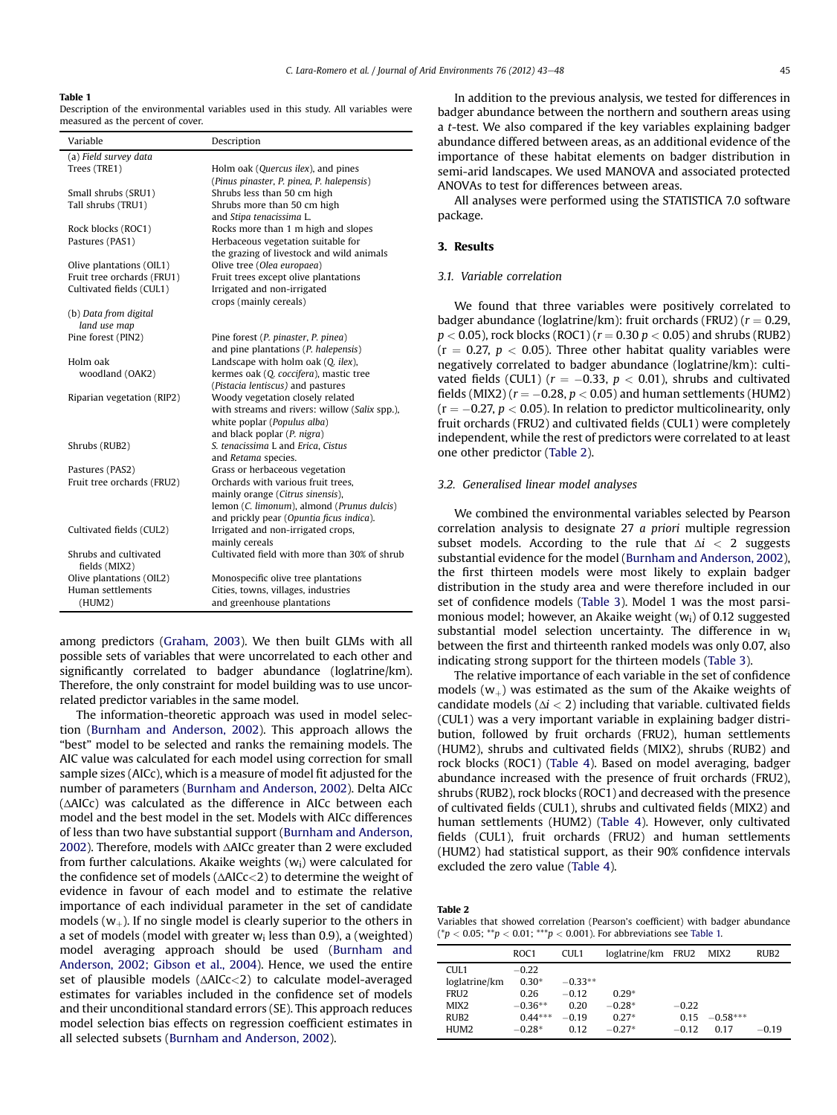#### <span id="page-2-0"></span>Table 1

Description of the environmental variables used in this study. All variables were measured as the percent of cover.

| Variable                               | Description                                   |
|----------------------------------------|-----------------------------------------------|
| (a) Field survey data                  |                                               |
| Trees (TRE1)                           | Holm oak (Quercus ilex), and pines            |
|                                        | (Pinus pinaster, P. pinea, P. halepensis)     |
| Small shrubs (SRU1)                    | Shrubs less than 50 cm high                   |
| Tall shrubs (TRU1)                     | Shrubs more than 50 cm high                   |
|                                        | and Stipa tenacissima L.                      |
| Rock blocks (ROC1)                     | Rocks more than 1 m high and slopes           |
| Pastures (PAS1)                        | Herbaceous vegetation suitable for            |
|                                        | the grazing of livestock and wild animals     |
| Olive plantations (OIL1)               | Olive tree (Olea europaea)                    |
| Fruit tree orchards (FRU1)             | Fruit trees except olive plantations          |
| Cultivated fields (CUL1)               | Irrigated and non-irrigated                   |
|                                        | crops (mainly cereals)                        |
| (b) Data from digital                  |                                               |
| land use map                           |                                               |
| Pine forest (PIN2)                     | Pine forest (P. pinaster, P. pinea)           |
|                                        | and pine plantations (P. halepensis)          |
| Holm oak                               | Landscape with holm oak (Q. ilex),            |
| woodland (OAK2)                        | kermes oak (Q. coccifera), mastic tree        |
|                                        | (Pistacia lentiscus) and pastures             |
| Riparian vegetation (RIP2)             | Woody vegetation closely related              |
|                                        | with streams and rivers: willow (Salix spp.), |
|                                        | white poplar (Populus alba)                   |
|                                        | and black poplar (P. nigra)                   |
| Shrubs (RUB2)                          | S. tenacissima L and Erica, Cistus            |
|                                        | and Retama species.                           |
| Pastures (PAS2)                        | Grass or herbaceous vegetation                |
| Fruit tree orchards (FRU2)             | Orchards with various fruit trees,            |
|                                        | mainly orange (Citrus sinensis),              |
|                                        | lemon (C. limonum), almond (Prunus dulcis)    |
|                                        | and prickly pear (Opuntia ficus indica).      |
| Cultivated fields (CUL2)               | Irrigated and non-irrigated crops,            |
|                                        | mainly cereals                                |
| Shrubs and cultivated<br>fields (MIX2) | Cultivated field with more than 30% of shrub  |
| Olive plantations (OIL2)               | Monospecific olive tree plantations           |
| Human settlements                      | Cities, towns, villages, industries           |
| (HUM2)                                 | and greenhouse plantations                    |

among predictors ([Graham, 2003](#page-4-0)). We then built GLMs with all possible sets of variables that were uncorrelated to each other and significantly correlated to badger abundance (loglatrine/km). Therefore, the only constraint for model building was to use uncorrelated predictor variables in the same model.

The information-theoretic approach was used in model selection ([Burnham and Anderson, 2002](#page-4-0)). This approach allows the "best" model to be selected and ranks the remaining models. The AIC value was calculated for each model using correction for small sample sizes (AICc), which is a measure of model fit adjusted for the number of parameters [\(Burnham and Anderson, 2002](#page-4-0)). Delta AICc (ΔAICc) was calculated as the difference in AICc between each model and the best model in the set. Models with AICc differences of less than two have substantial support ([Burnham and Anderson,](#page-4-0) [2002\)](#page-4-0). Therefore, models with ΔAICc greater than 2 were excluded from further calculations. Akaike weights  $(w<sub>i</sub>)$  were calculated for the confidence set of models (ΔAICc<2) to determine the weight of evidence in favour of each model and to estimate the relative importance of each individual parameter in the set of candidate models  $(w_+)$ . If no single model is clearly superior to the others in a set of models (model with greater  $w_i$  less than 0.9), a (weighted) model averaging approach should be used [\(Burnham and](#page-4-0) [Anderson, 2002; Gibson et al., 2004\)](#page-4-0). Hence, we used the entire set of plausible models (ΔAICc<2) to calculate model-averaged estimates for variables included in the confidence set of models and their unconditional standard errors (SE). This approach reduces model selection bias effects on regression coefficient estimates in all selected subsets ([Burnham and Anderson, 2002\)](#page-4-0).

In addition to the previous analysis, we tested for differences in badger abundance between the northern and southern areas using a t-test. We also compared if the key variables explaining badger abundance differed between areas, as an additional evidence of the importance of these habitat elements on badger distribution in semi-arid landscapes. We used MANOVA and associated protected ANOVAs to test for differences between areas.

All analyses were performed using the STATISTICA 7.0 software package.

#### 3. Results

### 3.1. Variable correlation

We found that three variables were positively correlated to badger abundance (loglatrine/km): fruit orchards (FRU2) ( $r = 0.29$ ,  $p < 0.05$ ), rock blocks (ROC1) ( $r = 0.30$   $p < 0.05$ ) and shrubs (RUB2)  $(r = 0.27, p < 0.05)$ . Three other habitat quality variables were negatively correlated to badger abundance (loglatrine/km): cultivated fields (CUL1) ( $r = -0.33$ ,  $p < 0.01$ ), shrubs and cultivated fields (MIX2) ( $r = -0.28$ ,  $p < 0.05$ ) and human settlements (HUM2)  $(r = -0.27, p < 0.05)$ . In relation to predictor multicolinearity, only fruit orchards (FRU2) and cultivated fields (CUL1) were completely independent, while the rest of predictors were correlated to at least one other predictor (Table 2).

#### 3.2. Generalised linear model analyses

We combined the environmental variables selected by Pearson correlation analysis to designate 27 a priori multiple regression subset models. According to the rule that  $\Delta i < 2$  suggests substantial evidence for the model ([Burnham and Anderson, 2002\)](#page-4-0), the first thirteen models were most likely to explain badger distribution in the study area and were therefore included in our set of confidence models [\(Table 3\)](#page-3-0). Model 1 was the most parsimonious model; however, an Akaike weight  $(w_i)$  of 0.12 suggested substantial model selection uncertainty. The difference in wi between the first and thirteenth ranked models was only 0.07, also indicating strong support for the thirteen models [\(Table 3](#page-3-0)).

The relative importance of each variable in the set of confidence models  $(w_+)$  was estimated as the sum of the Akaike weights of candidate models ( $\Delta i$  < 2) including that variable. cultivated fields (CUL1) was a very important variable in explaining badger distribution, followed by fruit orchards (FRU2), human settlements (HUM2), shrubs and cultivated fields (MIX2), shrubs (RUB2) and rock blocks (ROC1) ([Table 4\)](#page-3-0). Based on model averaging, badger abundance increased with the presence of fruit orchards (FRU2), shrubs (RUB2), rock blocks (ROC1) and decreased with the presence of cultivated fields (CUL1), shrubs and cultivated fields (MIX2) and human settlements (HUM2) [\(Table 4\)](#page-3-0). However, only cultivated fields (CUL1), fruit orchards (FRU2) and human settlements (HUM2) had statistical support, as their 90% confidence intervals excluded the zero value [\(Table 4](#page-3-0)).

#### Table 2

Variables that showed correlation (Pearson's coefficient) with badger abundance (\* $p < 0.05$ ; \*\* $p < 0.01$ ; \*\*\* $p < 0.001$ ). For abbreviations see Table 1.

|                  | ROC <sub>1</sub> | CUL1      | loglatrine/km FRU2 |         | MIX <sub>2</sub> | RUB <sub>2</sub> |
|------------------|------------------|-----------|--------------------|---------|------------------|------------------|
| CUL1             | $-0.22$          |           |                    |         |                  |                  |
| loglatrine/km    | $0.30*$          | $-0.33**$ |                    |         |                  |                  |
| FRU <sub>2</sub> | 0.26             | $-0.12$   | $0.29*$            |         |                  |                  |
| MIX <sub>2</sub> | $-0.36**$        | 0.20      | $-0.28*$           | $-0.22$ |                  |                  |
| RUB <sub>2</sub> | $0.44***$        | $-0.19$   | $0.27*$            | 0.15    | $-0.58***$       |                  |
| HUM <sub>2</sub> | $-0.28*$         | 0.12      | $-0.27*$           | $-0.12$ | 0.17             | $-0.19$          |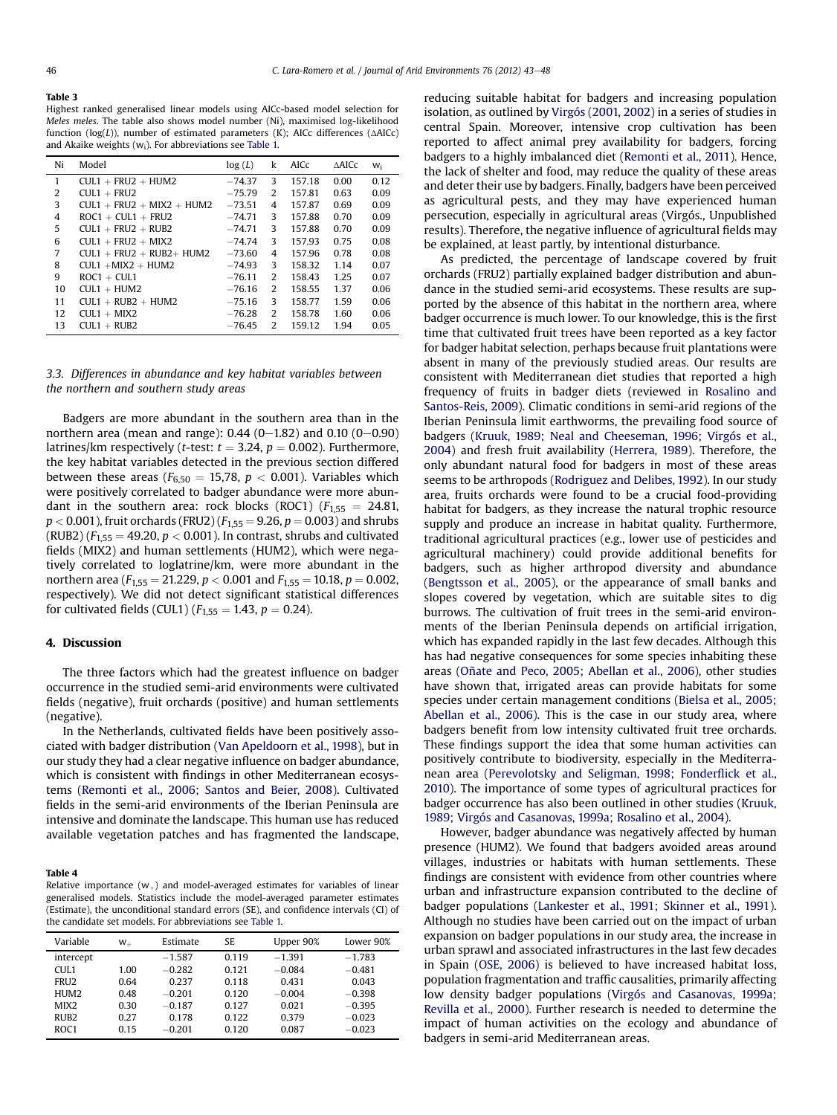#### <span id="page-3-0"></span>Table 3

Highest ranked generalised linear models using AICc-based model selection for Meles meles. The table also shows model number (Ni), maximised log-likelihood function (log(L)), number of estimated parameters (K); AICc differences (ΔAICc) and Akaike weights  $(w_i)$ . For abbreviations see [Table 1.](#page-2-0)

| Ni             | Model                       | log(L)   | k | AICc   | ∆AICc | W <sub>i</sub> |
|----------------|-----------------------------|----------|---|--------|-------|----------------|
| 1              | $CUL1 + FRU2 + HUM2$        | $-74.37$ | 3 | 157.18 | 0.00  | 0.12           |
| $\overline{2}$ | $CUL1 + FRU2$               | $-75.79$ | 2 | 157.81 | 0.63  | 0.09           |
| 3              | $CUL1 + FRU2 + MIX2 + HUM2$ | $-73.51$ | 4 | 157.87 | 0.69  | 0.09           |
| 4              | $ROC1 + CUL1 + FRU2$        | $-74.71$ | 3 | 157.88 | 0.70  | 0.09           |
| 5              | $CUL1 + FRU2 + RUB2$        | $-74.71$ | 3 | 157.88 | 0.70  | 0.09           |
| 6              | $CUL1 + FRU2 + MIX2$        | $-74.74$ | 3 | 157.93 | 0.75  | 0.08           |
| 7              | $CUL1 + FRU2 + RUB2 + HUM2$ | $-73.60$ | 4 | 157.96 | 0.78  | 0.08           |
| 8              | $CUL1 + MIX2 + HUM2$        | $-74.93$ | 3 | 158.32 | 1.14  | 0.07           |
| 9              | $ROC1 + CUL1$               | $-76.11$ | 2 | 158.43 | 1.25  | 0.07           |
| 10             | $CUL1 + HUM2$               | $-76.16$ | 2 | 158.55 | 1.37  | 0.06           |
| 11             | $CUL1 + RUB2 + HUM2$        | $-75.16$ | 3 | 158.77 | 1.59  | 0.06           |
| 12             | $CUL1 + MIX2$               | $-76.28$ | 2 | 158.78 | 1.60  | 0.06           |
| 13             | $CUL1 + RUB2$               | $-76.45$ | 2 | 159.12 | 1.94  | 0.05           |

### 3.3. Differences in abundance and key habitat variables between the northern and southern study areas

Badgers are more abundant in the southern area than in the northern area (mean and range):  $0.44$  (0-1.82) and  $0.10$  (0-0.90) latrines/km respectively (t-test:  $t = 3.24$ ,  $p = 0.002$ ). Furthermore, the key habitat variables detected in the previous section differed between these areas ( $F_{6,50} = 15,78$ ,  $p < 0.001$ ). Variables which were positively correlated to badger abundance were more abundant in the southern area: rock blocks (ROC1) ( $F_{1,55} = 24.81$ ,  $p < 0.001$ ), fruit orchards (FRU2) ( $F_{1,55} = 9.26$ ,  $p = 0.003$ ) and shrubs (RUB2) ( $F_{1,55} = 49.20, p < 0.001$ ). In contrast, shrubs and cultivated fields (MIX2) and human settlements (HUM2), which were negatively correlated to loglatrine/km, were more abundant in the northern area ( $F_{1,55} = 21.229$ ,  $p < 0.001$  and  $F_{1,55} = 10.18$ ,  $p = 0.002$ , respectively). We did not detect significant statistical differences for cultivated fields (CUL1) ( $F_{1,55} = 1.43$ ,  $p = 0.24$ ).

### 4. Discussion

The three factors which had the greatest influence on badger occurrence in the studied semi-arid environments were cultivated fields (negative), fruit orchards (positive) and human settlements (negative).

In the Netherlands, cultivated fields have been positively associated with badger distribution [\(Van Apeldoorn et al., 1998](#page-5-0)), but in our study they had a clear negative influence on badger abundance, which is consistent with findings in other Mediterranean ecosystems [\(Remonti et al., 2006; Santos and Beier, 2008\)](#page-4-0). Cultivated fields in the semi-arid environments of the Iberian Peninsula are intensive and dominate the landscape. This human use has reduced available vegetation patches and has fragmented the landscape,

#### Table 4

Relative importance  $(w_+)$  and model-averaged estimates for variables of linear generalised models. Statistics include the model-averaged parameter estimates (Estimate), the unconditional standard errors (SE), and confidence intervals (CI) of the candidate set models. For abbreviations see [Table 1.](#page-2-0)

| Variable         | $W_{\perp}$ | Estimate | SE.   | Upper 90% | Lower 90% |
|------------------|-------------|----------|-------|-----------|-----------|
| intercept        |             | $-1.587$ | 0.119 | $-1.391$  | $-1.783$  |
| CUL1             | 1.00        | $-0.282$ | 0.121 | $-0.084$  | $-0.481$  |
| FRU <sub>2</sub> | 0.64        | 0.237    | 0.118 | 0.431     | 0.043     |
| HUM <sub>2</sub> | 0.48        | $-0.201$ | 0.120 | $-0.004$  | $-0.398$  |
| MIX <sub>2</sub> | 0.30        | $-0.187$ | 0.127 | 0.021     | $-0.395$  |
| RUB <sub>2</sub> | 0.27        | 0.178    | 0.122 | 0.379     | $-0.023$  |
| ROC <sub>1</sub> | 0.15        | $-0.201$ | 0.120 | 0.087     | $-0.023$  |

reducing suitable habitat for badgers and increasing population isolation, as outlined by [Virgós \(2001, 2002\)](#page-5-0) in a series of studies in central Spain. Moreover, intensive crop cultivation has been reported to affect animal prey availability for badgers, forcing badgers to a highly imbalanced diet [\(Remonti et al., 2011\)](#page-4-0). Hence, the lack of shelter and food, may reduce the quality of these areas and deter their use by badgers. Finally, badgers have been perceived as agricultural pests, and they may have experienced human persecution, especially in agricultural areas (Virgós., Unpublished results). Therefore, the negative influence of agricultural fields may be explained, at least partly, by intentional disturbance.

As predicted, the percentage of landscape covered by fruit orchards (FRU2) partially explained badger distribution and abundance in the studied semi-arid ecosystems. These results are supported by the absence of this habitat in the northern area, where badger occurrence is much lower. To our knowledge, this is the first time that cultivated fruit trees have been reported as a key factor for badger habitat selection, perhaps because fruit plantations were absent in many of the previously studied areas. Our results are consistent with Mediterranean diet studies that reported a high frequency of fruits in badger diets (reviewed in [Rosalino and](#page-5-0) [Santos-Reis, 2009\)](#page-5-0). Climatic conditions in semi-arid regions of the Iberian Peninsula limit earthworms, the prevailing food source of badgers [\(Kruuk, 1989; Neal and Cheeseman, 1996; Virgós et al.,](#page-4-0) [2004](#page-4-0)) and fresh fruit availability [\(Herrera, 1989\)](#page-4-0). Therefore, the only abundant natural food for badgers in most of these areas seems to be arthropods ([Rodriguez and Delibes, 1992](#page-4-0)). In our study area, fruits orchards were found to be a crucial food-providing habitat for badgers, as they increase the natural trophic resource supply and produce an increase in habitat quality. Furthermore, traditional agricultural practices (e.g., lower use of pesticides and agricultural machinery) could provide additional benefits for badgers, such as higher arthropod diversity and abundance ([Bengtsson et al., 2005](#page-4-0)), or the appearance of small banks and slopes covered by vegetation, which are suitable sites to dig burrows. The cultivation of fruit trees in the semi-arid environments of the Iberian Peninsula depends on artificial irrigation, which has expanded rapidly in the last few decades. Although this has had negative consequences for some species inhabiting these areas ([Oñate and Peco, 2005; Abellan et al., 2006](#page-4-0)), other studies have shown that, irrigated areas can provide habitats for some species under certain management conditions [\(Bielsa et al., 2005;](#page-4-0) [Abellan et al., 2006](#page-4-0)). This is the case in our study area, where badgers benefit from low intensity cultivated fruit tree orchards. These findings support the idea that some human activities can positively contribute to biodiversity, especially in the Mediterranean area ([Perevolotsky and Seligman, 1998; Fonder](#page-4-0)flick et al., [2010\)](#page-4-0). The importance of some types of agricultural practices for badger occurrence has also been outlined in other studies ([Kruuk,](#page-4-0) [1989; Virgós and Casanovas, 1999a; Rosalino et al., 2004\)](#page-4-0).

However, badger abundance was negatively affected by human presence (HUM2). We found that badgers avoided areas around villages, industries or habitats with human settlements. These findings are consistent with evidence from other countries where urban and infrastructure expansion contributed to the decline of badger populations [\(Lankester et al., 1991; Skinner et al., 1991\)](#page-4-0). Although no studies have been carried out on the impact of urban expansion on badger populations in our study area, the increase in urban sprawl and associated infrastructures in the last few decades in Spain ([OSE, 2006\)](#page-4-0) is believed to have increased habitat loss, population fragmentation and traffic causalities, primarily affecting low density badger populations ([Virgós and Casanovas, 1999a;](#page-5-0) [Revilla et al., 2000](#page-5-0)). Further research is needed to determine the impact of human activities on the ecology and abundance of badgers in semi-arid Mediterranean areas.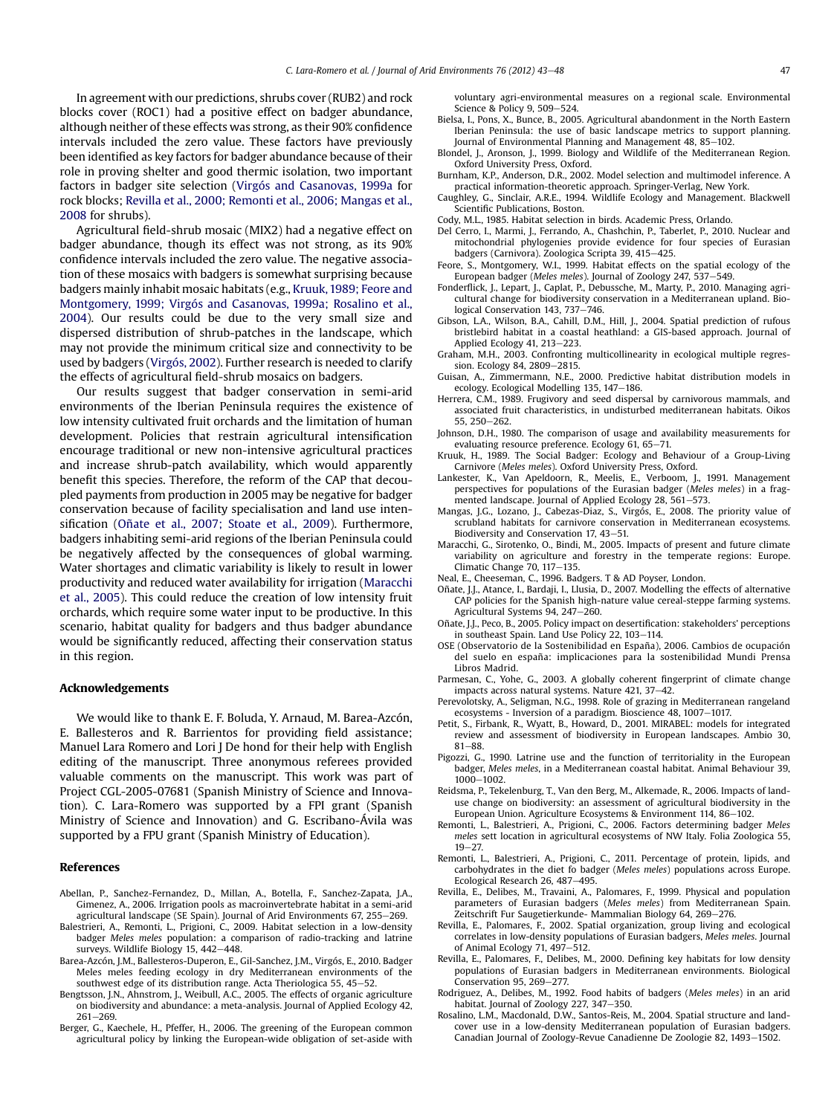<span id="page-4-0"></span>In agreement with our predictions, shrubs cover (RUB2) and rock blocks cover (ROC1) had a positive effect on badger abundance, although neither of these effects was strong, as their 90% confidence intervals included the zero value. These factors have previously been identified as key factors for badger abundance because of their role in proving shelter and good thermic isolation, two important factors in badger site selection [\(Virgós and Casanovas, 1999a](#page-5-0) for rock blocks; Revilla et al., 2000; Remonti et al., 2006; Mangas et al., 2008 for shrubs).

Agricultural field-shrub mosaic (MIX2) had a negative effect on badger abundance, though its effect was not strong, as its 90% confidence intervals included the zero value. The negative association of these mosaics with badgers is somewhat surprising because badgers mainly inhabit mosaic habitats (e.g., Kruuk, 1989; Feore and Montgomery, 1999; Virgós and Casanovas, 1999a; Rosalino et al., 2004). Our results could be due to the very small size and dispersed distribution of shrub-patches in the landscape, which may not provide the minimum critical size and connectivity to be used by badgers [\(Virgós, 2002\)](#page-5-0). Further research is needed to clarify the effects of agricultural field-shrub mosaics on badgers.

Our results suggest that badger conservation in semi-arid environments of the Iberian Peninsula requires the existence of low intensity cultivated fruit orchards and the limitation of human development. Policies that restrain agricultural intensification encourage traditional or new non-intensive agricultural practices and increase shrub-patch availability, which would apparently benefit this species. Therefore, the reform of the CAP that decoupled payments from production in 2005 may be negative for badger conservation because of facility specialisation and land use intensification (Oñate et al., 2007; Stoate et al., 2009). Furthermore, badgers inhabiting semi-arid regions of the Iberian Peninsula could be negatively affected by the consequences of global warming. Water shortages and climatic variability is likely to result in lower productivity and reduced water availability for irrigation (Maracchi et al., 2005). This could reduce the creation of low intensity fruit orchards, which require some water input to be productive. In this scenario, habitat quality for badgers and thus badger abundance would be significantly reduced, affecting their conservation status in this region.

#### Acknowledgements

We would like to thank E. F. Boluda, Y. Arnaud, M. Barea-Azcón, E. Ballesteros and R. Barrientos for providing field assistance; Manuel Lara Romero and Lori J De hond for their help with English editing of the manuscript. Three anonymous referees provided valuable comments on the manuscript. This work was part of Project CGL-2005-07681 (Spanish Ministry of Science and Innovation). C. Lara-Romero was supported by a FPI grant (Spanish Ministry of Science and Innovation) and G. Escribano-Ávila was supported by a FPU grant (Spanish Ministry of Education).

#### References

- Abellan, P., Sanchez-Fernandez, D., Millan, A., Botella, F., Sanchez-Zapata, J.A., Gimenez, A., 2006. Irrigation pools as macroinvertebrate habitat in a semi-arid agricultural landscape (SE Spain). Journal of Arid Environments 67, 255-269.
- Balestrieri, A., Remonti, L., Prigioni, C., 2009. Habitat selection in a low-density badger Meles meles population: a comparison of radio-tracking and latrine surveys. Wildlife Biology 15, 442-448.
- Barea-Azcón, J.M., Ballesteros-Duperon, E., Gil-Sanchez, J.M., Virgós, E., 2010. Badger Meles meles feeding ecology in dry Mediterranean environments of the southwest edge of its distribution range. Acta Theriologica 55, 45-52.
- Bengtsson, J.N., Ahnstrom, J., Weibull, A.C., 2005. The effects of organic agriculture on biodiversity and abundance: a meta-analysis. Journal of Applied Ecology 42,  $261 - 269$
- Berger, G., Kaechele, H., Pfeffer, H., 2006. The greening of the European common agricultural policy by linking the European-wide obligation of set-aside with

voluntary agri-environmental measures on a regional scale. Environmental Science & Policy 9,  $509 - 524$ .

- Bielsa, I., Pons, X., Bunce, B., 2005. Agricultural abandonment in the North Eastern Iberian Peninsula: the use of basic landscape metrics to support planning. Journal of Environmental Planning and Management 48, 85-102.
- Blondel, J., Aronson, J., 1999. Biology and Wildlife of the Mediterranean Region. Oxford University Press, Oxford.
- Burnham, K.P., Anderson, D.R., 2002. Model selection and multimodel inference. A practical information-theoretic approach. Springer-Verlag, New York.
- Caughley, G., Sinclair, A.R.E., 1994. Wildlife Ecology and Management. Blackwell Scientific Publications, Boston.
- Cody, M.L., 1985. Habitat selection in birds. Academic Press, Orlando.
- Del Cerro, I., Marmi, J., Ferrando, A., Chashchin, P., Taberlet, P., 2010. Nuclear and mitochondrial phylogenies provide evidence for four species of Eurasian badgers (Carnivora). Zoologica Scripta 39, 415-425.
- Feore, S., Montgomery, W.I., 1999. Habitat effects on the spatial ecology of the European badger (Meles meles). Journal of Zoology 247, 537–549.
- Fonderflick, J., Lepart, J., Caplat, P., Debussche, M., Marty, P., 2010. Managing agricultural change for biodiversity conservation in a Mediterranean upland. Biological Conservation 143, 737-746.
- Gibson, L.A., Wilson, B.A., Cahill, D.M., Hill, J., 2004. Spatial prediction of rufous bristlebird habitat in a coastal heathland: a GIS-based approach. Journal of Applied Ecology 41, 213-223.
- Graham, M.H., 2003. Confronting multicollinearity in ecological multiple regression. Ecology 84, 2809-2815.
- Guisan, A., Zimmermann, N.E., 2000. Predictive habitat distribution models in ecology. Ecological Modelling 135, 147-186.
- Herrera, C.M., 1989. Frugivory and seed dispersal by carnivorous mammals, and associated fruit characteristics, in undisturbed mediterranean habitats. Oikos  $55.250 - 262.$
- Johnson, D.H., 1980. The comparison of usage and availability measurements for evaluating resource preference. Ecology 61, 65-71.
- Kruuk, H., 1989. The Social Badger: Ecology and Behaviour of a Group-Living Carnivore (Meles meles). Oxford University Press, Oxford.
- Lankester, K., Van Apeldoorn, R., Meelis, E., Verboom, J., 1991. Management perspectives for populations of the Eurasian badger (Meles meles) in a fragmented landscape. Journal of Applied Ecology 28, 561-573.
- Mangas, J.G., Lozano, J., Cabezas-Diaz, S., Virgós, E., 2008. The priority value of scrubland habitats for carnivore conservation in Mediterranean ecosystems. Biodiversity and Conservation 17, 43-51.
- Maracchi, G., Sirotenko, O., Bindi, M., 2005. Impacts of present and future climate variability on agriculture and forestry in the temperate regions: Europe. Climatic Change  $70$ ,  $117-135$ .
- Neal, E., Cheeseman, C., 1996. Badgers. T & AD Poyser, London.
- Oñate, J.J., Atance, I., Bardaji, I., Llusia, D., 2007. Modelling the effects of alternative CAP policies for the Spanish high-nature value cereal-steppe farming systems. Agricultural Systems 94, 247-260.
- Oñate, J.J., Peco, B., 2005. Policy impact on desertification: stakeholders' perceptions in southeast Spain. Land Use Policy 22, 103-114.
- OSE (Observatorio de la Sostenibilidad en España), 2006. Cambios de ocupación del suelo en españa: implicaciones para la sostenibilidad Mundi Prensa Libros Madrid.
- Parmesan, C., Yohe, G., 2003. A globally coherent fingerprint of climate change impacts across natural systems. Nature 421, 37-42
- Perevolotsky, A., Seligman, N.G., 1998. Role of grazing in Mediterranean rangeland ecosystems - Inversion of a paradigm. Bioscience 48, 1007-1017.
- Petit, S., Firbank, R., Wyatt, B., Howard, D., 2001. MIRABEL: models for integrated review and assessment of biodiversity in European landscapes. Ambio 30,  $81 - 88.$
- Pigozzi, G., 1990. Latrine use and the function of territoriality in the European badger, Meles meles, in a Mediterranean coastal habitat. Animal Behaviour 39, 1000-1002
- Reidsma, P., Tekelenburg, T., Van den Berg, M., Alkemade, R., 2006. Impacts of landuse change on biodiversity: an assessment of agricultural biodiversity in the European Union. Agriculture Ecosystems & Environment 114, 86-102.
- Remonti, L., Balestrieri, A., Prigioni, C., 2006. Factors determining badger Meles meles sett location in agricultural ecosystems of NW Italy. Folia Zoologica 55,  $19 - 27.$
- Remonti, L., Balestrieri, A., Prigioni, C., 2011. Percentage of protein, lipids, and carbohydrates in the diet fo badger (Meles meles) populations across Europe. Ecological Research 26, 487-495.
- Revilla, E., Delibes, M., Travaini, A., Palomares, F., 1999. Physical and population parameters of Eurasian badgers (Meles meles) from Mediterranean Spain. Zeitschrift Fur Saugetierkunde- Mammalian Biology 64, 269-276.
- Revilla, E., Palomares, F., 2002. Spatial organization, group living and ecological correlates in low-density populations of Eurasian badgers, Meles meles. Journal of Animal Ecology 71,  $497 - 512$ .
- Revilla, E., Palomares, F., Delibes, M., 2000. Defining key habitats for low density populations of Eurasian badgers in Mediterranean environments. Biological  $\overline{\text{Conservation}}$  95, 269-277.
- Rodriguez, A., Delibes, M., 1992. Food habits of badgers (Meles meles) in an arid habitat. Journal of Zoology 227, 347-350.
- Rosalino, L.M., Macdonald, D.W., Santos-Reis, M., 2004. Spatial structure and landcover use in a low-density Mediterranean population of Eurasian badgers. Canadian Journal of Zoology-Revue Canadienne De Zoologie 82, 1493–1502.